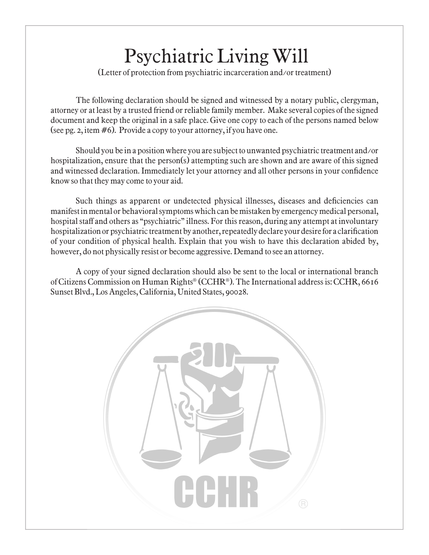## Psychiatric Living Will

(Letter of protection from psychiatric incarceration and/or treatment)

The following declaration should be signed and witnessed by a notary public, clergyman, attorney or at least by a trusted friend or reliable family member. Make several copies of the signed document and keep the original in a safe place. Give one copy to each of the persons named below (see pg. 2, item #6). Provide a copy to your attorney, if you have one.

Should you be in a position where you are subject to unwanted psychiatric treatment and/or hospitalization, ensure that the person(s) attempting such are shown and are aware of this signed and witnessed declaration. Immediately let your attorney and all other persons in your confidence know so that they may come to your aid.

Such things as apparent or undetected physical illnesses, diseases and deficiencies can manifest in mental or behavioral symptoms which can be mistaken by emergency medical personal, hospital staff and others as "psychiatric" illness. For this reason, during any attempt at involuntary hospitalization or psychiatric treatment by another, repeatedly declare your desire for a clarification of your condition of physical health. Explain that you wish to have this declaration abided by, however, do not physically resist or become aggressive. Demand to see an attorney.

A copy of your signed declaration should also be sent to the local or international branch of Citizens Commission on Human Rights® (CCHR®). The International address is: CCHR, 6616 Sunset Blvd., Los Angeles, California, United States, 90028.

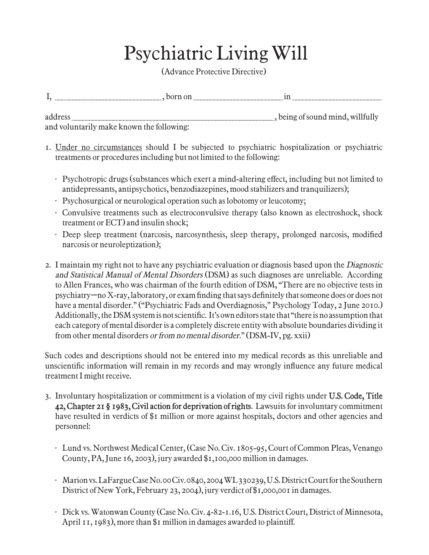## Psychiatric Living Will

(Advance Protective Directive)

|                                           | . born on |                                  |
|-------------------------------------------|-----------|----------------------------------|
| address                                   |           | , being of sound mind, willfully |
| and voluntarily make known the following: |           |                                  |

- 1. Under no circumstances should I be subjected to psychiatric hospitalization or psychiatric treatments or procedures including but not limited to the following:
	- Psychotropic drugs (substances which exert a mind-altering effect, including but not limited to antidepressants, antipsychotics, benzodiazepines, mood stabilizers and tranquilizers);
	- Psychosurgical or neurological operation such as lobotomy or leucotomy;
	- Convulsive treatments such as electroconvulsive therapy (also known as electroshock, shock treatment or ECT) and insulin shock;
	- Deep sleep treatment (narcosis, narcosynthesis, sleep therapy, prolonged narcosis, modified narcosis or neuroleptization);
- 2. I maintain my right not to have any psychiatric evaluation or diagnosis based upon the *Diagnostic* and Statistical Manual of Mental Disorders (DSM) as such diagnoses are unreliable. According to Allen Frances, who was chairman of the fourth edition of DSM, "There are no objective tests in psychiatry—no X-ray, laboratory, or exam finding that says definitely that someone does or does not have a mental disorder." ("Psychiatric Fads and Overdiagnosis," Psychology Today, 2 June 2010.) Additionally, the DSM system is not scientific. It's own editors state that "there is no assumption that each category of mental disorder is a completely discrete entity with absolute boundaries dividing it from other mental disorders or from no mental disorder." (DSM-IV, pg. xxii)

Such codes and descriptions should not be entered into my medical records as this unreliable and unscientific information will remain in my records and may wrongly influence any future medical treatment I might receive.

- 3. Involuntary hospitalization or commitment is a violation of my civil rights under U.S. Code, Title 42, Chapter 21 **§** 1983, Civil action for deprivation of rights. Lawsuits for involuntary commitment have resulted in verdicts of \$1 million or more against hospitals, doctors and other agencies and personnel:
	- Lund vs. Northwest Medical Center, (Case No. Civ. 1805-95, Court of Common Pleas, Venango County, PA, June 16, 2003), jury awarded \$1,100,000 million in damages.
	- Marion vs. LaFargue Case No. 00 Civ. 0840, 2004 WL 330239, U.S. District Court for the Southern District of New York, February 23, 2004), jury verdict of \$1,000,001 in damages.
	- Dick vs. Watonwan County (Case No. Civ. 4-82-1.16, U.S. District Court, District of Minnesota, April 11, 1983), more than \$1 million in damages awarded to plaintiff.